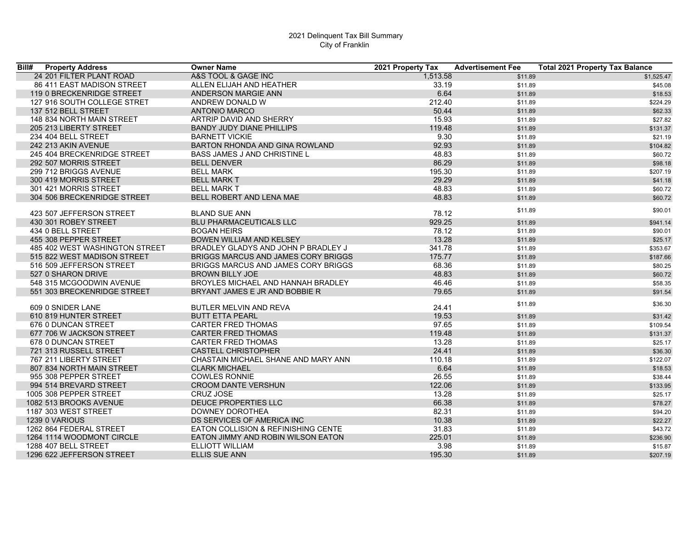| Bill#<br><b>Property Address</b> | <b>Owner Name</b>                   | 2021 Property Tax | <b>Advertisement Fee</b> | <b>Total 2021 Property Tax Balance</b> |
|----------------------------------|-------------------------------------|-------------------|--------------------------|----------------------------------------|
| 24 201 FILTER PLANT ROAD         | A&S TOOL & GAGE INC                 | 1.513.58          | \$11.89                  | \$1,525.47                             |
| 86 411 EAST MADISON STREET       | ALLEN ELIJAH AND HEATHER            | 33.19             | \$11.89                  | \$45.08                                |
| 119 0 BRECKENRIDGE STREET        | ANDERSON MARGIE ANN                 | 6.64              | \$11.89                  | \$18.53                                |
| 127 916 SOUTH COLLEGE STRET      | ANDREW DONALD W                     | 212.40            | \$11.89                  | \$224.29                               |
| 137 512 BELL STREET              | <b>ANTONIO MARCO</b>                | 50.44             | \$11.89                  | \$62.33                                |
| 148 834 NORTH MAIN STREET        | ARTRIP DAVID AND SHERRY             | 15.93             | \$11.89                  | \$27.82                                |
| 205 213 LIBERTY STREET           | <b>BANDY JUDY DIANE PHILLIPS</b>    | 119.48            | \$11.89                  | \$131.37                               |
| 234 404 BELL STREET              | <b>BARNETT VICKIE</b>               | 9.30              | \$11.89                  | \$21.19                                |
| 242 213 AKIN AVENUE              | BARTON RHONDA AND GINA ROWLAND      | 92.93             | \$11.89                  | \$104.82                               |
| 245 404 BRECKENRIDGE STREET      | <b>BASS JAMES J AND CHRISTINE L</b> | 48.83             | \$11.89                  | \$60.72                                |
| 292 507 MORRIS STREET            | <b>BELL DENVER</b>                  | 86.29             | \$11.89                  | \$98.18                                |
| 299 712 BRIGGS AVENUE            | <b>BELL MARK</b>                    | 195.30            | \$11.89                  | \$207.19                               |
| 300 419 MORRIS STREET            | <b>BELL MARK T</b>                  | 29.29             | \$11.89                  | \$41.18                                |
| 301 421 MORRIS STREET            | <b>BELL MARK T</b>                  | 48.83             | \$11.89                  | \$60.72                                |
| 304 506 BRECKENRIDGE STREET      | BELL ROBERT AND LENA MAE            | 48.83             | \$11.89                  | \$60.72                                |
|                                  |                                     |                   | \$11.89                  | \$90.01                                |
| 423 507 JEFFERSON STREET         | <b>BLAND SUE ANN</b>                | 78.12             |                          |                                        |
| 430 301 ROBEY STREET             | <b>BLU PHARMACEUTICALS LLC</b>      | 929.25            | \$11.89                  | \$941.14                               |
| 434 0 BELL STREET                | <b>BOGAN HEIRS</b>                  | 78.12             | \$11.89                  | \$90.01                                |
| 455 308 PEPPER STREET            | BOWEN WILLIAM AND KELSEY            | 13.28             | \$11.89                  | \$25.17                                |
| 485 402 WEST WASHINGTON STREET   | BRADLEY GLADYS AND JOHN P BRADLEY J | 341.78            | \$11.89                  | \$353.67                               |
| 515 822 WEST MADISON STREET      | BRIGGS MARCUS AND JAMES CORY BRIGGS | 175.77            | \$11.89                  | \$187.66                               |
| 516 509 JEFFERSON STREET         | BRIGGS MARCUS AND JAMES CORY BRIGGS | 68.36             | \$11.89                  | \$80.25                                |
| 527 0 SHARON DRIVE               | <b>BROWN BILLY JOE</b>              | 48.83             | \$11.89                  | \$60.72                                |
| 548 315 MCGOODWIN AVENUE         | BROYLES MICHAEL AND HANNAH BRADLEY  | 46.46             | \$11.89                  | \$58.35                                |
| 551 303 BRECKENRIDGE STREET      | BRYANT JAMES E JR AND BOBBIE R      | 79.65             | \$11.89                  | \$91.54                                |
|                                  |                                     |                   | \$11.89                  | \$36.30                                |
| 609 0 SNIDER LANE                | BUTLER MELVIN AND REVA              | 24.41             |                          |                                        |
| 610 819 HUNTER STREET            | <b>BUTT ETTA PEARL</b>              | 19.53             | \$11.89                  | \$31.42                                |
| 676 0 DUNCAN STREET              | <b>CARTER FRED THOMAS</b>           | 97.65             | \$11.89                  | \$109.54                               |
| 677 706 W JACKSON STREET         | <b>CARTER FRED THOMAS</b>           | 119.48            | \$11.89                  | \$131.37                               |
| 678 0 DUNCAN STREET              | <b>CARTER FRED THOMAS</b>           | 13.28             | \$11.89                  | \$25.17                                |
| 721 313 RUSSELL STREET           | <b>CASTELL CHRISTOPHER</b>          | 24.41             | \$11.89                  | \$36.30                                |
| 767 211 LIBERTY STREET           | CHASTAIN MICHAEL SHANE AND MARY ANN | 110.18            | \$11.89                  | \$122.07                               |
| 807 834 NORTH MAIN STREET        | <b>CLARK MICHAEL</b>                | 6.64              | \$11.89                  | \$18.53                                |
| 955 308 PEPPER STREET            | <b>COWLES RONNIE</b>                | 26.55             | \$11.89                  | \$38.44                                |
| 994 514 BREVARD STREET           | <b>CROOM DANTE VERSHUN</b>          | 122.06            | \$11.89                  | \$133.95                               |
| 1005 308 PEPPER STREET           | CRUZ JOSE                           | 13.28             | \$11.89                  | \$25.17                                |
| 1082 513 BROOKS AVENUE           | <b>DEUCE PROPERTIES LLC</b>         | 66.38             | \$11.89                  | \$78.27                                |
| 1187 303 WEST STREET             | DOWNEY DOROTHEA                     | 82.31             | \$11.89                  | \$94.20                                |
| 1239 0 VARIOUS                   | DS SERVICES OF AMERICA INC          | 10.38             | \$11.89                  | \$22.27                                |
| 1262 864 FEDERAL STREET          | EATON COLLISION & REFINISHING CENTE | 31.83             | \$11.89                  | \$43.72                                |
| 1264 1114 WOODMONT CIRCLE        | EATON JIMMY AND ROBIN WILSON EATON  | 225.01            | \$11.89                  | \$236.90                               |
| 1288 407 BELL STREET             | ELLIOTT WILLIAM                     | 3.98              | \$11.89                  | \$15.87                                |
| 1296 622 JEFFERSON STREET        | <b>ELLIS SUE ANN</b>                | 195.30            | \$11.89                  | \$207.19                               |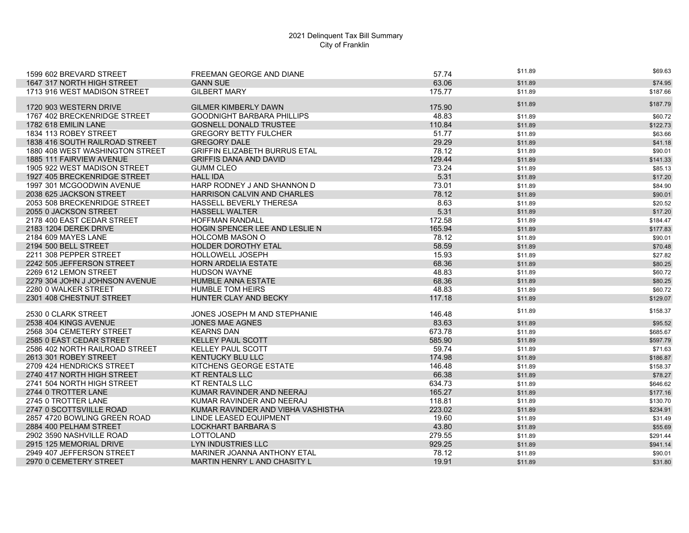| 1599 602 BREVARD STREET         | FREEMAN GEORGE AND DIANE             | 57.74  | \$11.89 | \$69.63  |
|---------------------------------|--------------------------------------|--------|---------|----------|
| 1647 317 NORTH HIGH STREET      | <b>GANN SUE</b>                      | 63.06  | \$11.89 | \$74.95  |
| 1713 916 WEST MADISON STREET    | <b>GILBERT MARY</b>                  | 175.77 | \$11.89 | \$187.66 |
|                                 |                                      |        |         |          |
| 1720 903 WESTERN DRIVE          | <b>GILMER KIMBERLY DAWN</b>          | 175.90 | \$11.89 | \$187.79 |
| 1767 402 BRECKENRIDGE STREET    | <b>GOODNIGHT BARBARA PHILLIPS</b>    | 48.83  | \$11.89 | \$60.72  |
| 1782 618 EMILIN LANE            | <b>GOSNELL DONALD TRUSTEE</b>        | 110.84 | \$11.89 | \$122.73 |
| 1834 113 ROBEY STREET           | <b>GREGORY BETTY FULCHER</b>         | 51.77  | \$11.89 | \$63.66  |
| 1838 416 SOUTH RAILROAD STREET  | <b>GREGORY DALE</b>                  | 29.29  | \$11.89 | \$41.18  |
| 1880 408 WEST WASHINGTON STREET | <b>GRIFFIN ELIZABETH BURRUS ETAL</b> | 78.12  | \$11.89 | \$90.01  |
| 1885 111 FAIRVIEW AVENUE        | <b>GRIFFIS DANA AND DAVID</b>        | 129.44 | \$11.89 | \$141.33 |
| 1905 922 WEST MADISON STREET    | <b>GUMM CLEO</b>                     | 73.24  | \$11.89 | \$85.13  |
| 1927 405 BRECKENRIDGE STREET    | <b>HALL IDA</b>                      | 5.31   | \$11.89 | \$17.20  |
| 1997 301 MCGOODWIN AVENUE       | HARP RODNEY J AND SHANNON D          | 73.01  | \$11.89 | \$84.90  |
| 2038 625 JACKSON STREET         | HARRISON CALVIN AND CHARLES          | 78.12  | \$11.89 | \$90.01  |
| 2053 508 BRECKENRIDGE STREET    | HASSELL BEVERLY THERESA              | 8.63   | \$11.89 | \$20.52  |
| 2055 0 JACKSON STREET           | <b>HASSELL WALTER</b>                | 5.31   | \$11.89 | \$17.20  |
| 2178 400 EAST CEDAR STREET      | <b>HOFFMAN RANDALL</b>               | 172.58 | \$11.89 | \$184.47 |
| 2183 1204 DEREK DRIVE           | HOGIN SPENCER LEE AND LESLIE N       | 165.94 | \$11.89 | \$177.83 |
| 2184 609 MAYES LANE             | <b>HOLCOMB MASON O</b>               | 78.12  | \$11.89 | \$90.01  |
| 2194 500 BELL STREET            | <b>HOLDER DOROTHY ETAL</b>           | 58.59  | \$11.89 | \$70.48  |
| 2211 308 PEPPER STREET          | <b>HOLLOWELL JOSEPH</b>              | 15.93  | \$11.89 | \$27.82  |
| 2242 505 JEFFERSON STREET       | <b>HORN ARDELIA ESTATE</b>           | 68.36  | \$11.89 | \$80.25  |
| 2269 612 LEMON STREET           | HUDSON WAYNE                         | 48.83  | \$11.89 | \$60.72  |
| 2279 304 JOHN J JOHNSON AVENUE  | <b>HUMBLE ANNA ESTATE</b>            | 68.36  | \$11.89 | \$80.25  |
| 2280 0 WALKER STREET            | <b>HUMBLE TOM HEIRS</b>              | 48.83  | \$11.89 | \$60.72  |
| 2301 408 CHESTNUT STREET        | <b>HUNTER CLAY AND BECKY</b>         | 117.18 | \$11.89 | \$129.07 |
|                                 |                                      |        | \$11.89 | \$158.37 |
| 2530 0 CLARK STREET             | JONES JOSEPH M AND STEPHANIE         | 146.48 |         |          |
| 2538 404 KINGS AVENUE           | <b>JONES MAE AGNES</b>               | 83.63  | \$11.89 | \$95.52  |
| 2568 304 CEMETERY STREET        | <b>KEARNS DAN</b>                    | 673.78 | \$11.89 | \$685.67 |
| 2585 0 EAST CEDAR STREET        | <b>KELLEY PAUL SCOTT</b>             | 585.90 | \$11.89 | \$597.79 |
| 2586 402 NORTH RAILROAD STREET  | KELLEY PAUL SCOTT                    | 59.74  | \$11.89 | \$71.63  |
| 2613 301 ROBEY STREET           | <b>KENTUCKY BLU LLC</b>              | 174.98 | \$11.89 | \$186.87 |
| 2709 424 HENDRICKS STREET       | KITCHENS GEORGE ESTATE               | 146.48 | \$11.89 | \$158.37 |
| 2740 417 NORTH HIGH STREET      | <b>KT RENTALS LLC</b>                | 66.38  | \$11.89 | \$78.27  |
| 2741 504 NORTH HIGH STREET      | <b>KT RENTALS LLC</b>                | 634.73 | \$11.89 | \$646.62 |
| 2744 0 TROTTER LANE             | KUMAR RAVINDER AND NEERAJ            | 165.27 | \$11.89 | \$177.16 |
| 2745 0 TROTTER LANE             | KUMAR RAVINDER AND NEERAJ            | 118.81 | \$11.89 | \$130.70 |
| 2747 0 SCOTTSVIILLE ROAD        | KUMAR RAVINDER AND VIBHA VASHISTHA   | 223.02 | \$11.89 | \$234.91 |
| 2857 4720 BOWLING GREEN ROAD    | LINDE LEASED EQUIPMENT               | 19.60  | \$11.89 | \$31.49  |
| 2884 400 PELHAM STREET          | LOCKHART BARBARA S                   | 43.80  | \$11.89 | \$55.69  |
| 2902 3590 NASHVILLE ROAD        | LOTTOLAND                            | 279.55 | \$11.89 | \$291.44 |
| 2915 125 MEMORIAL DRIVE         | LYN INDUSTRIES LLC                   | 929.25 | \$11.89 | \$941.14 |
| 2949 407 JEFFERSON STREET       | <b>MARINER JOANNA ANTHONY ETAL</b>   | 78.12  | \$11.89 | \$90.01  |
| 2970 0 CEMETERY STREET          | <b>MARTIN HENRY L AND CHASITY L</b>  | 19.91  | \$11.89 | \$31.80  |
|                                 |                                      |        |         |          |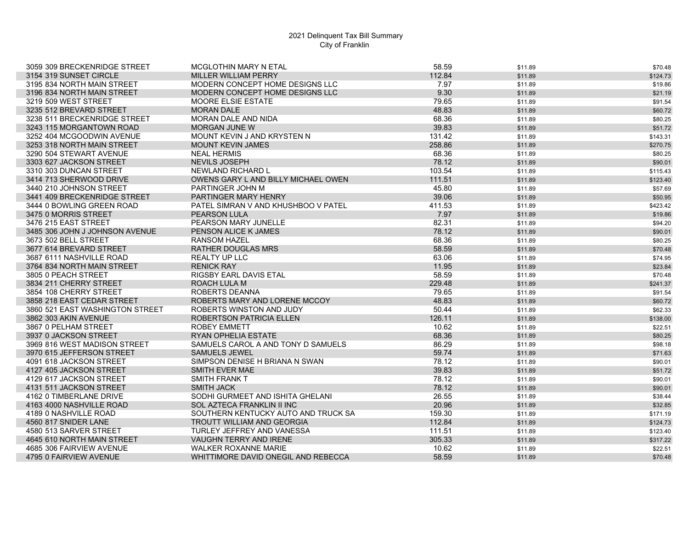| 3059 309 BRECKENRIDGE STREET    | <b>MCGLOTHIN MARY N ETAL</b>        | 58.59  | \$11.89 | \$70.48  |
|---------------------------------|-------------------------------------|--------|---------|----------|
| 3154 319 SUNSET CIRCLE          | <b>MILLER WILLIAM PERRY</b>         | 112.84 | \$11.89 | \$124.73 |
| 3195 834 NORTH MAIN STREET      | MODERN CONCEPT HOME DESIGNS LLC     | 7.97   | \$11.89 | \$19.86  |
| 3196 834 NORTH MAIN STREET      | MODERN CONCEPT HOME DESIGNS LLC     | 9.30   | \$11.89 | \$21.19  |
| 3219 509 WEST STREET            | MOORE ELSIE ESTATE                  | 79.65  | \$11.89 | \$91.54  |
| 3235 512 BREVARD STREET         | <b>MORAN DALE</b>                   | 48.83  | \$11.89 | \$60.72  |
| 3238 511 BRECKENRIDGE STREET    | <b>MORAN DALE AND NIDA</b>          | 68.36  | \$11.89 | \$80.25  |
| 3243 115 MORGANTOWN ROAD        | <b>MORGAN JUNE W</b>                | 39.83  | \$11.89 | \$51.72  |
| 3252 404 MCGOODWIN AVENUE       | MOUNT KEVIN J AND KRYSTEN N         | 131.42 | \$11.89 | \$143.31 |
| 3253 318 NORTH MAIN STREET      | <b>MOUNT KEVIN JAMES</b>            | 258.86 | \$11.89 | \$270.75 |
| 3290 504 STEWART AVENUE         | <b>NEAL HERMIS</b>                  | 68.36  | \$11.89 | \$80.25  |
| 3303 627 JACKSON STREET         | <b>NEVILS JOSEPH</b>                | 78.12  | \$11.89 | \$90.01  |
| 3310 303 DUNCAN STREET          | NEWLAND RICHARD L                   | 103.54 | \$11.89 | \$115.43 |
| 3414 713 SHERWOOD DRIVE         | OWENS GARY L AND BILLY MICHAEL OWEN | 111.51 | \$11.89 | \$123.40 |
| 3440 210 JOHNSON STREET         | PARTINGER JOHN M                    | 45.80  | \$11.89 | \$57.69  |
| 3441 409 BRECKENRIDGE STREET    | PARTINGER MARY HENRY                | 39.06  | \$11.89 | \$50.95  |
| 3444 0 BOWLING GREEN ROAD       | PATEL SIMRAN V AND KHUSHBOO V PATEL | 411.53 | \$11.89 | \$423.42 |
| 3475 0 MORRIS STREET            | <b>PEARSON LULA</b>                 | 7.97   | \$11.89 | \$19.86  |
| 3476 215 EAST STREET            | PEARSON MARY JUNELLE                | 82.31  | \$11.89 | \$94.20  |
| 3485 306 JOHN J JOHNSON AVENUE  | PENSON ALICE K JAMES                | 78.12  | \$11.89 | \$90.01  |
| 3673 502 BELL STREET            | <b>RANSOM HAZEL</b>                 | 68.36  | \$11.89 | \$80.25  |
| 3677 614 BREVARD STREET         | <b>RATHER DOUGLAS MRS</b>           | 58.59  | \$11.89 | \$70.48  |
| 3687 6111 NASHVILLE ROAD        | <b>REALTY UP LLC</b>                | 63.06  | \$11.89 | \$74.95  |
| 3764 834 NORTH MAIN STREET      | <b>RENICK RAY</b>                   | 11.95  | \$11.89 | \$23.84  |
| 3805 0 PEACH STREET             | RIGSBY EARL DAVIS ETAL              | 58.59  | \$11.89 | \$70.48  |
| 3834 211 CHERRY STREET          | <b>ROACH LULA M</b>                 | 229.48 | \$11.89 | \$241.37 |
| 3854 108 CHERRY STREET          | ROBERTS DEANNA                      | 79.65  | \$11.89 | \$91.54  |
| 3858 218 EAST CEDAR STREET      | ROBERTS MARY AND LORENE MCCOY       | 48.83  | \$11.89 | \$60.72  |
| 3860 521 EAST WASHINGTON STREET | ROBERTS WINSTON AND JUDY            | 50.44  | \$11.89 | \$62.33  |
| 3862 303 AKIN AVENUE            | ROBERTSON PATRICIA ELLEN            | 126.11 | \$11.89 | \$138.00 |
| 3867 0 PELHAM STREET            | ROBEY EMMETT                        | 10.62  | \$11.89 | \$22.51  |
| 3937 0 JACKSON STREET           | <b>RYAN OPHELIA ESTATE</b>          | 68.36  | \$11.89 | \$80.25  |
| 3969 816 WEST MADISON STREET    | SAMUELS CAROL A AND TONY D SAMUELS  | 86.29  | \$11.89 | \$98.18  |
| 3970 615 JEFFERSON STREET       | <b>SAMUELS JEWEL</b>                | 59.74  | \$11.89 | \$71.63  |
| 4091 618 JACKSON STREET         | SIMPSON DENISE H BRIANA N SWAN      | 78.12  | \$11.89 | \$90.01  |
| 4127 405 JACKSON STREET         | <b>SMITH EVER MAE</b>               | 39.83  | \$11.89 | \$51.72  |
| 4129 617 JACKSON STREET         | SMITH FRANK T                       | 78.12  | \$11.89 | \$90.01  |
| 4131 511 JACKSON STREET         | <b>SMITH JACK</b>                   | 78.12  | \$11.89 | \$90.01  |
| 4162 0 TIMBERLANE DRIVE         | SODHI GURMEET AND ISHITA GHELANI    | 26.55  | \$11.89 | \$38.44  |
| 4163 4000 NASHVILLE ROAD        | SOL AZTECA FRANKLIN II INC          | 20.96  | \$11.89 | \$32.85  |
| 4189 0 NASHVILLE ROAD           | SOUTHERN KENTUCKY AUTO AND TRUCK SA | 159.30 | \$11.89 | \$171.19 |
| 4560 817 SNIDER LANE            | TROUTT WILLIAM AND GEORGIA          | 112.84 | \$11.89 | \$124.73 |
| 4580 513 SARVER STREET          | TURLEY JEFFREY AND VANESSA          | 111.51 | \$11.89 | \$123.40 |
| 4645 610 NORTH MAIN STREET      | <b>VAUGHN TERRY AND IRENE</b>       | 305.33 | \$11.89 | \$317.22 |
| 4685 306 FAIRVIEW AVENUE        | <b>WALKER ROXANNE MARIE</b>         | 10.62  | \$11.89 | \$22.51  |
| 4795 0 FAIRVIEW AVENUE          | WHITTIMORE DAVID ONEGIL AND REBECCA | 58.59  | \$11.89 | \$70.48  |
|                                 |                                     |        |         |          |